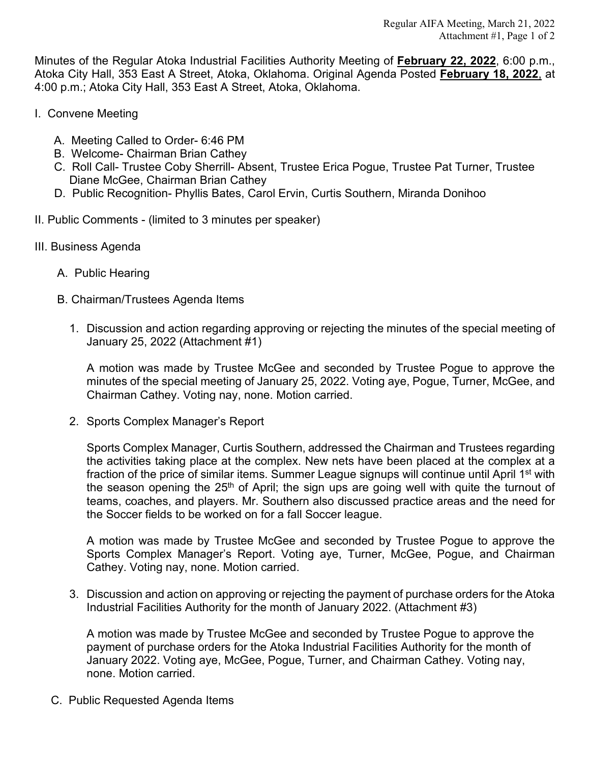Minutes of the Regular Atoka Industrial Facilities Authority Meeting of **February 22, 2022**, 6:00 p.m., Atoka City Hall, 353 East A Street, Atoka, Oklahoma. Original Agenda Posted **February 18, 2022**, at 4:00 p.m.; Atoka City Hall, 353 East A Street, Atoka, Oklahoma.

- I. Convene Meeting
	- A. Meeting Called to Order- 6:46 PM
	- B. Welcome- Chairman Brian Cathey
	- C. Roll Call- Trustee Coby Sherrill- Absent, Trustee Erica Pogue, Trustee Pat Turner, Trustee Diane McGee, Chairman Brian Cathey
	- D. Public Recognition- Phyllis Bates, Carol Ervin, Curtis Southern, Miranda Donihoo
- II. Public Comments (limited to 3 minutes per speaker)
- III. Business Agenda
	- A. Public Hearing
	- B. Chairman/Trustees Agenda Items
		- 1. Discussion and action regarding approving or rejecting the minutes of the special meeting of January 25, 2022 (Attachment #1)

A motion was made by Trustee McGee and seconded by Trustee Pogue to approve the minutes of the special meeting of January 25, 2022. Voting aye, Pogue, Turner, McGee, and Chairman Cathey. Voting nay, none. Motion carried.

2. Sports Complex Manager's Report

Sports Complex Manager, Curtis Southern, addressed the Chairman and Trustees regarding the activities taking place at the complex. New nets have been placed at the complex at a fraction of the price of similar items. Summer League signups will continue until April 1<sup>st</sup> with the season opening the  $25<sup>th</sup>$  of April; the sign ups are going well with quite the turnout of teams, coaches, and players. Mr. Southern also discussed practice areas and the need for the Soccer fields to be worked on for a fall Soccer league.

A motion was made by Trustee McGee and seconded by Trustee Pogue to approve the Sports Complex Manager's Report. Voting aye, Turner, McGee, Pogue, and Chairman Cathey. Voting nay, none. Motion carried.

3. Discussion and action on approving or rejecting the payment of purchase orders for the Atoka Industrial Facilities Authority for the month of January 2022. (Attachment #3)

A motion was made by Trustee McGee and seconded by Trustee Pogue to approve the payment of purchase orders for the Atoka Industrial Facilities Authority for the month of January 2022. Voting aye, McGee, Pogue, Turner, and Chairman Cathey. Voting nay, none. Motion carried.

C. Public Requested Agenda Items